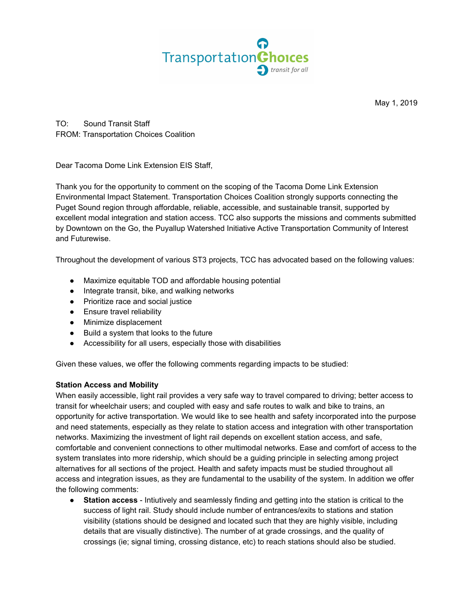

May 1, 2019

TO: Sound Transit Staff FROM: Transportation Choices Coalition

Dear Tacoma Dome Link Extension EIS Staff,

Thank you for the opportunity to comment on the scoping of the Tacoma Dome Link Extension Environmental Impact Statement. Transportation Choices Coalition strongly supports connecting the Puget Sound region through affordable, reliable, accessible, and sustainable transit, supported by excellent modal integration and station access. TCC also supports the missions and comments submitted by Downtown on the Go, the Puyallup Watershed Initiative Active Transportation Community of Interest and Futurewise.

Throughout the development of various ST3 projects, TCC has advocated based on the following values:

- Maximize equitable TOD and affordable housing potential
- Integrate transit, bike, and walking networks
- Prioritize race and social justice
- **•** Ensure travel reliability
- Minimize displacement
- Build a system that looks to the future
- Accessibility for all users, especially those with disabilities

Given these values, we offer the following comments regarding impacts to be studied:

## **Station Access and Mobility**

When easily accessible, light rail provides a very safe way to travel compared to driving; better access to transit for wheelchair users; and coupled with easy and safe routes to walk and bike to trains, an opportunity for active transportation. We would like to see health and safety incorporated into the purpose and need statements, especially as they relate to station access and integration with other transportation networks. Maximizing the investment of light rail depends on excellent station access, and safe, comfortable and convenient connections to other multimodal networks. Ease and comfort of access to the system translates into more ridership, which should be a guiding principle in selecting among project alternatives for all sections of the project. Health and safety impacts must be studied throughout all access and integration issues, as they are fundamental to the usability of the system. In addition we offer the following comments:

● **Station access** - Intiutively and seamlessly finding and getting into the station is critical to the success of light rail. Study should include number of entrances/exits to stations and station visibility (stations should be designed and located such that they are highly visible, including details that are visually distinctive). The number of at grade crossings, and the quality of crossings (ie; signal timing, crossing distance, etc) to reach stations should also be studied.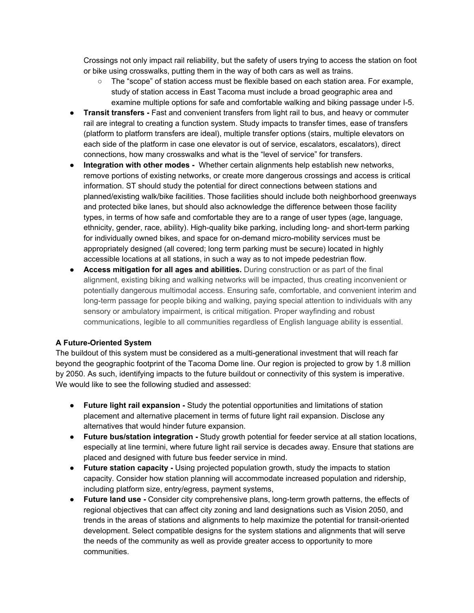Crossings not only impact rail reliability, but the safety of users trying to access the station on foot or bike using crosswalks, putting them in the way of both cars as well as trains.

- The "scope" of station access must be flexible based on each station area. For example, study of station access in East Tacoma must include a broad geographic area and examine multiple options for safe and comfortable walking and biking passage under I-5.
- **Transit transfers -** Fast and convenient transfers from light rail to bus, and heavy or commuter rail are integral to creating a function system. Study impacts to transfer times, ease of transfers (platform to platform transfers are ideal), multiple transfer options (stairs, multiple elevators on each side of the platform in case one elevator is out of service, escalators, escalators), direct connections, how many crosswalks and what is the "level of service" for transfers.
- **Integration with other modes -** Whether certain alignments help establish new networks, remove portions of existing networks, or create more dangerous crossings and access is critical information. ST should study the potential for direct connections between stations and planned/existing walk/bike facilities. Those facilities should include both neighborhood greenways and protected bike lanes, but should also acknowledge the difference between those facility types, in terms of how safe and comfortable they are to a range of user types (age, language, ethnicity, gender, race, ability). High-quality bike parking, including long- and short-term parking for individually owned bikes, and space for on-demand micro-mobility services must be appropriately designed (all covered; long term parking must be secure) located in highly accessible locations at all stations, in such a way as to not impede pedestrian flow.
- **Access mitigation for all ages and abilities.** During construction or as part of the final alignment, existing biking and walking networks will be impacted, thus creating inconvenient or potentially dangerous multimodal access. Ensuring safe, comfortable, and convenient interim and long-term passage for people biking and walking, paying special attention to individuals with any sensory or ambulatory impairment, is critical mitigation. Proper wayfinding and robust communications, legible to all communities regardless of English language ability is essential.

## **A Future-Oriented System**

The buildout of this system must be considered as a multi-generational investment that will reach far beyond the geographic footprint of the Tacoma Dome line. Our region is projected to grow by 1.8 million by 2050. As such, identifying impacts to the future buildout or connectivity of this system is imperative. We would like to see the following studied and assessed:

- **● Future light rail expansion -** Study the potential opportunities and limitations of station placement and alternative placement in terms of future light rail expansion. Disclose any alternatives that would hinder future expansion.
- **● Future bus/station integration -** Study growth potential for feeder service at all station locations, especially at line termini, where future light rail service is decades away. Ensure that stations are placed and designed with future bus feeder service in mind.
- **● Future station capacity -** Using projected population growth, study the impacts to station capacity. Consider how station planning will accommodate increased population and ridership, including platform size, entry/egress, payment systems,
- **Future land use -** Consider city comprehensive plans, long-term growth patterns, the effects of regional objectives that can affect city zoning and land designations such as Vision 2050, and trends in the areas of stations and alignments to help maximize the potential for transit-oriented development. Select compatible designs for the system stations and alignments that will serve the needs of the community as well as provide greater access to opportunity to more communities.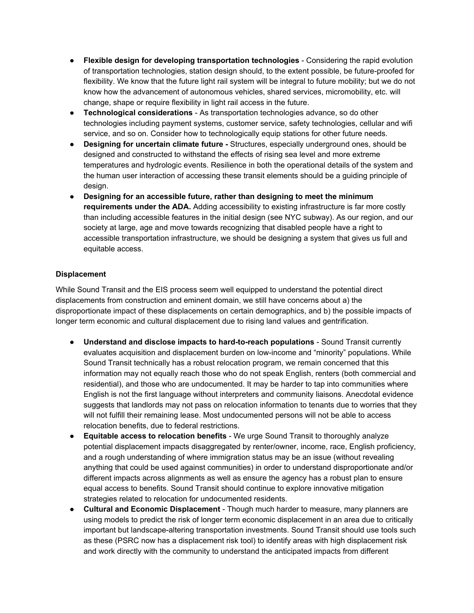- **Flexible design for developing transportation technologies** Considering the rapid evolution of transportation technologies, station design should, to the extent possible, be future-proofed for flexibility. We know that the future light rail system will be integral to future mobility; but we do not know how the advancement of autonomous vehicles, shared services, micromobility, etc. will change, shape or require flexibility in light rail access in the future.
- **Technological considerations** As transportation technologies advance, so do other technologies including payment systems, customer service, safety technologies, cellular and wifi service, and so on. Consider how to technologically equip stations for other future needs.
- **Designing for uncertain climate future -** Structures, especially underground ones, should be designed and constructed to withstand the effects of rising sea level and more extreme temperatures and hydrologic events. Resilience in both the operational details of the system and the human user interaction of accessing these transit elements should be a guiding principle of design.
- **Designing for an accessible future, rather than designing to meet the minimum requirements under the ADA.** Adding accessibility to existing infrastructure is far more costly than including accessible features in the initial design (see NYC subway). As our region, and our society at large, age and move towards recognizing that disabled people have a right to accessible transportation infrastructure, we should be designing a system that gives us full and equitable access.

## **Displacement**

While Sound Transit and the EIS process seem well equipped to understand the potential direct displacements from construction and eminent domain, we still have concerns about a) the disproportionate impact of these displacements on certain demographics, and b) the possible impacts of longer term economic and cultural displacement due to rising land values and gentrification.

- **Understand and disclose impacts to hard-to-reach populations** Sound Transit currently evaluates acquisition and displacement burden on low-income and "minority" populations. While Sound Transit technically has a robust relocation program, we remain concerned that this information may not equally reach those who do not speak English, renters (both commercial and residential), and those who are undocumented. It may be harder to tap into communities where English is not the first language without interpreters and community liaisons. Anecdotal evidence suggests that landlords may not pass on relocation information to tenants due to worries that they will not fulfill their remaining lease. Most undocumented persons will not be able to access relocation benefits, due to federal restrictions.
- **Equitable access to relocation benefits** We urge Sound Transit to thoroughly analyze potential displacement impacts disaggregated by renter/owner, income, race, English proficiency, and a rough understanding of where immigration status may be an issue (without revealing anything that could be used against communities) in order to understand disproportionate and/or different impacts across alignments as well as ensure the agency has a robust plan to ensure equal access to benefits. Sound Transit should continue to explore innovative mitigation strategies related to relocation for undocumented residents.
- **Cultural and Economic Displacement** Though much harder to measure, many planners are using models to predict the risk of longer term economic displacement in an area due to critically important but landscape-altering transportation investments. Sound Transit should use tools such as these (PSRC now has a displacement risk tool) to identify areas with high displacement risk and work directly with the community to understand the anticipated impacts from different